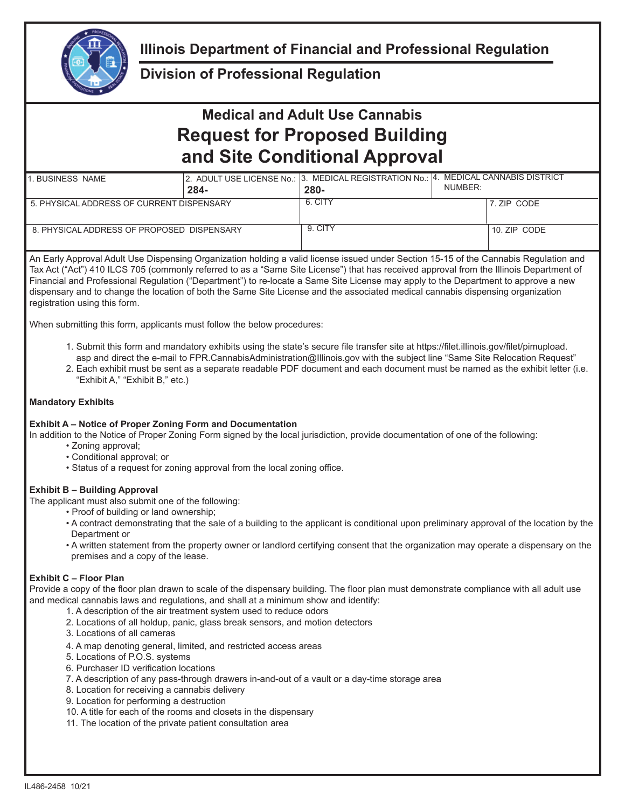

## **Illinois Department of Financial and Professional Regulation**

### **Division of Professional Regulation**

# **Medical and Adult Use Cannabis Request for Proposed Building and Site Conditional Approval**

| BUSINESS NAME                              |      | 2. ADULT USE LICENSE No.: 3. MEDICAL REGISTRATION No.:  4. MEDICAL CANNABIS DISTRICT |         |              |
|--------------------------------------------|------|--------------------------------------------------------------------------------------|---------|--------------|
|                                            | 284- | 280-                                                                                 | NUMBER: |              |
| 5. PHYSICAL ADDRESS OF CURRENT DISPENSARY  |      | 6. CITY                                                                              |         | 7. ZIP CODE  |
| 8. PHYSICAL ADDRESS OF PROPOSED DISPENSARY |      | 9. CITY                                                                              |         | 10. ZIP CODE |

An Early Approval Adult Use Dispensing Organization holding a valid license issued under Section 15-15 of the Cannabis Regulation and Tax Act ("Act") 410 ILCS 705 (commonly referred to as a "Same Site License") that has received approval from the Illinois Department of Financial and Professional Regulation ("Department") to re-locate a Same Site License may apply to the Department to approve a new dispensary and to change the location of both the Same Site License and the associated medical cannabis dispensing organization registration using this form.

When submitting this form, applicants must follow the below procedures:

- 1. Submit this form and mandatory exhibits using the state's secure file transfer site at https://filet.illinois.gov/filet/pimupload. asp and direct the e-mail to FPR.CannabisAdministration@Illinois.gov with the subject line "Same Site Relocation Request"
- 2. Each exhibit must be sent as a separate readable PDF document and each document must be named as the exhibit letter (i.e. "Exhibit A," "Exhibit B," etc.)

#### **Mandatory Exhibits**

#### **Exhibit A – Notice of Proper Zoning Form and Documentation**

In addition to the Notice of Proper Zoning Form signed by the local jurisdiction, provide documentation of one of the following:

- Zoning approval;
- Conditional approval; or
- Status of a request for zoning approval from the local zoning office.

#### **Exhibit B – Building Approval**

The applicant must also submit one of the following:

- Proof of building or land ownership;
- A contract demonstrating that the sale of a building to the applicant is conditional upon preliminary approval of the location by the Department or
- A written statement from the property owner or landlord certifying consent that the organization may operate a dispensary on the premises and a copy of the lease.

#### **Exhibit C – Floor Plan**

Provide a copy of the floor plan drawn to scale of the dispensary building. The floor plan must demonstrate compliance with all adult use and medical cannabis laws and regulations, and shall at a minimum show and identify:

- 1. A description of the air treatment system used to reduce odors
- 2. Locations of all holdup, panic, glass break sensors, and motion detectors
- 3. Locations of all cameras
- 4. A map denoting general, limited, and restricted access areas
- 5. Locations of P.O.S. systems
- 6. Purchaser ID verification locations
- 7. A description of any pass-through drawers in-and-out of a vault or a day-time storage area
- 8. Location for receiving a cannabis delivery
- 9. Location for performing a destruction
- 10. A title for each of the rooms and closets in the dispensary
- 11. The location of the private patient consultation area